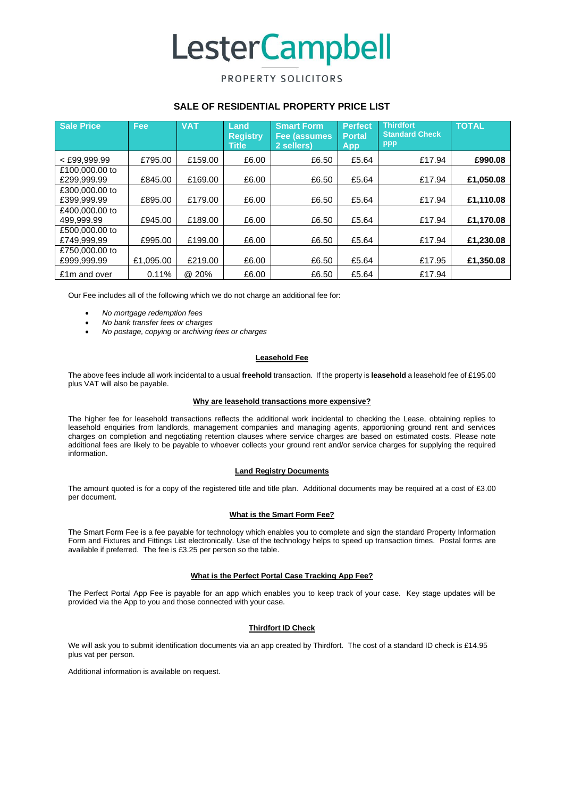# **LesterCampbell**

# PROPERTY SOLICITORS

## **SALE OF RESIDENTIAL PROPERTY PRICE LIST**

| Sale Price                    | Fee       | <b>VAT</b> | Land<br><b>Registry</b><br><b>Title</b> | <b>Smart Form</b><br>Fee (assumes<br>2 sellers) | <b>Perfect</b><br><b>Portal</b><br><b>App</b> | <b>Thirdfort</b><br><b>Standard Check</b><br>ppp | <b>TOTAL</b> |
|-------------------------------|-----------|------------|-----------------------------------------|-------------------------------------------------|-----------------------------------------------|--------------------------------------------------|--------------|
| $<$ £99.999.99                | £795.00   | £159.00    | £6.00                                   | £6.50                                           | £5.64                                         | £17.94                                           | £990.08      |
| £100,000,00 to<br>£299.999.99 | £845.00   | £169.00    | £6.00                                   | £6.50                                           | £5.64                                         | £17.94                                           | £1.050.08    |
| £300,000,00 to<br>£399,999.99 | £895.00   | £179.00    | £6.00                                   | £6.50                                           | £5.64                                         | £17.94                                           | £1,110.08    |
| £400,000,00 to<br>499.999.99  | £945.00   | £189.00    | £6.00                                   | £6.50                                           | £5.64                                         | £17.94                                           | £1,170.08    |
| £500,000,00 to<br>£749,999,99 | £995.00   | £199.00    | £6.00                                   | £6.50                                           | £5.64                                         | £17.94                                           | £1,230.08    |
| £750,000,00 to<br>£999.999.99 | £1.095.00 | £219.00    | £6.00                                   | £6.50                                           | £5.64                                         | £17.95                                           | £1,350.08    |
| £1m and over                  | 0.11%     | @ 20%      | £6.00                                   | £6.50                                           | £5.64                                         | £17.94                                           |              |

Our Fee includes all of the following which we do not charge an additional fee for:

- *No mortgage redemption fees*
- *No bank transfer fees or charges*
- *No postage, copying or archiving fees or charges*

## **Leasehold Fee**

The above fees include all work incidental to a usual **freehold** transaction. If the property is **leasehold** a leasehold fee of £195.00 plus VAT will also be payable.

#### **Why are leasehold transactions more expensive?**

The higher fee for leasehold transactions reflects the additional work incidental to checking the Lease, obtaining replies to leasehold enquiries from landlords, management companies and managing agents, apportioning ground rent and services charges on completion and negotiating retention clauses where service charges are based on estimated costs. Please note additional fees are likely to be payable to whoever collects your ground rent and/or service charges for supplying the required information.

#### **Land Registry Documents**

The amount quoted is for a copy of the registered title and title plan. Additional documents may be required at a cost of £3.00 per document.

## **What is the Smart Form Fee?**

The Smart Form Fee is a fee payable for technology which enables you to complete and sign the standard Property Information Form and Fixtures and Fittings List electronically. Use of the technology helps to speed up transaction times. Postal forms are available if preferred. The fee is £3.25 per person so the table.

## **What is the Perfect Portal Case Tracking App Fee?**

The Perfect Portal App Fee is payable for an app which enables you to keep track of your case. Key stage updates will be provided via the App to you and those connected with your case.

## **Thirdfort ID Check**

We will ask you to submit identification documents via an app created by Thirdfort. The cost of a standard ID check is £14.95 plus vat per person.

Additional information is available on request.